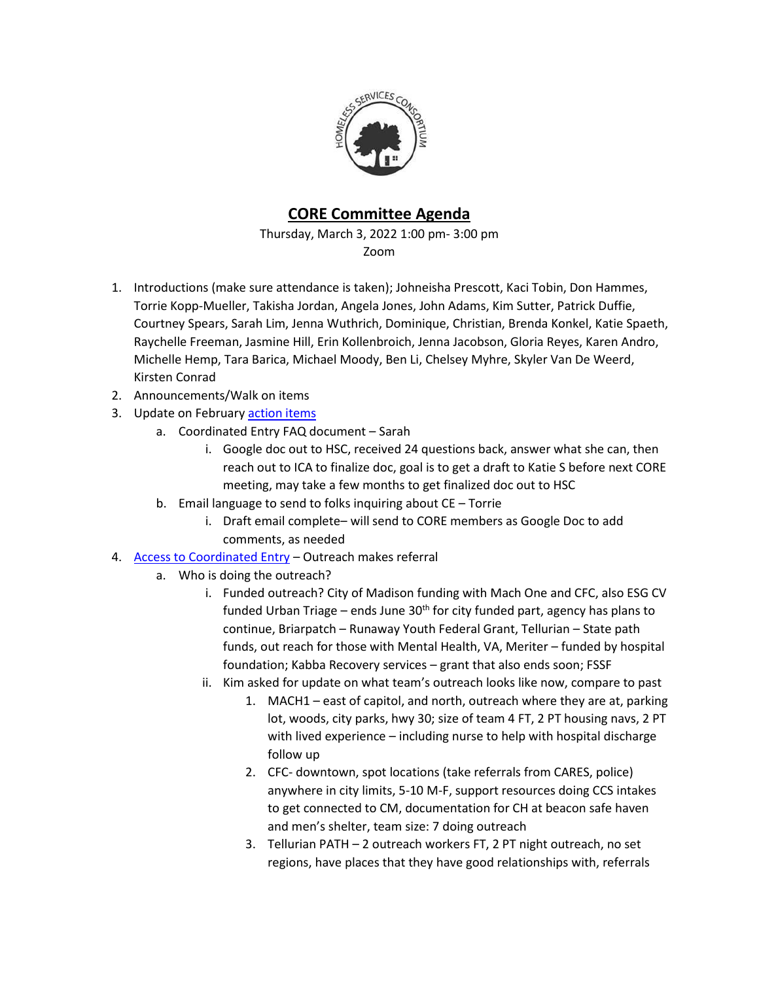

## **CORE Committee Agenda**

Thursday, March 3, 2022 1:00 pm- 3:00 pm Zoom

- 1. Introductions (make sure attendance is taken); Johneisha Prescott, Kaci Tobin, Don Hammes, Torrie Kopp-Mueller, Takisha Jordan, Angela Jones, John Adams, Kim Sutter, Patrick Duffie, Courtney Spears, Sarah Lim, Jenna Wuthrich, Dominique, Christian, Brenda Konkel, Katie Spaeth, Raychelle Freeman, Jasmine Hill, Erin Kollenbroich, Jenna Jacobson, Gloria Reyes, Karen Andro, Michelle Hemp, Tara Barica, Michael Moody, Ben Li, Chelsey Myhre, Skyler Van De Weerd, Kirsten Conrad
- 2. Announcements/Walk on items
- 3. Update on February [action items](https://docs.google.com/spreadsheets/d/13ZcNFYjt9ZqhSnPTpnYo80MKIbehsPPEUunvP4505Qw/edit?usp=sharing)
	- a. Coordinated Entry FAQ document Sarah
		- i. Google doc out to HSC, received 24 questions back, answer what she can, then reach out to ICA to finalize doc, goal is to get a draft to Katie S before next CORE meeting, may take a few months to get finalized doc out to HSC
	- b. Email language to send to folks inquiring about CE Torrie
		- i. Draft email complete– will send to CORE members as Google Doc to add comments, as needed
- 4. [Access to Coordinated Entry](https://endhomelessness.org/wp-content/uploads/2020/06/NAEH-CE-Processes-Racial-Disparities-Flowchart-FINAL.pdf) Outreach makes referral
	- a. Who is doing the outreach?
		- i. Funded outreach? City of Madison funding with Mach One and CFC, also ESG CV funded Urban Triage – ends June  $30<sup>th</sup>$  for city funded part, agency has plans to continue, Briarpatch – Runaway Youth Federal Grant, Tellurian – State path funds, out reach for those with Mental Health, VA, Meriter – funded by hospital foundation; Kabba Recovery services – grant that also ends soon; FSSF
		- ii. Kim asked for update on what team's outreach looks like now, compare to past
			- 1. MACH1 east of capitol, and north, outreach where they are at, parking lot, woods, city parks, hwy 30; size of team 4 FT, 2 PT housing navs, 2 PT with lived experience – including nurse to help with hospital discharge follow up
			- 2. CFC- downtown, spot locations (take referrals from CARES, police) anywhere in city limits, 5-10 M-F, support resources doing CCS intakes to get connected to CM, documentation for CH at beacon safe haven and men's shelter, team size: 7 doing outreach
			- 3. Tellurian PATH 2 outreach workers FT, 2 PT night outreach, no set regions, have places that they have good relationships with, referrals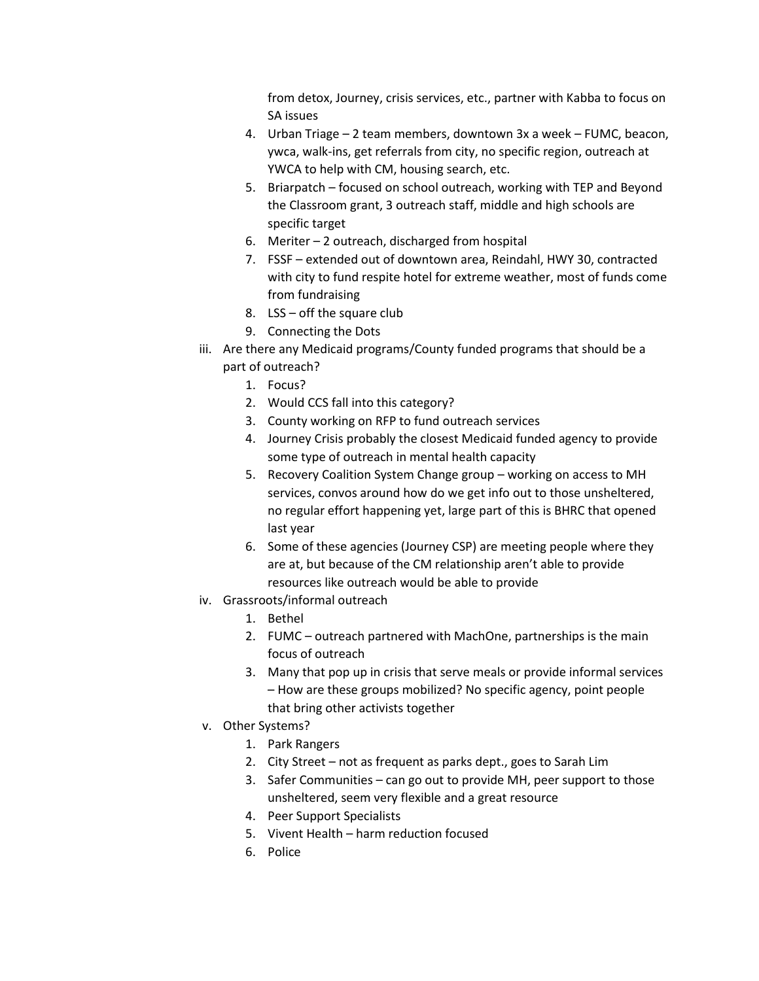from detox, Journey, crisis services, etc., partner with Kabba to focus on SA issues

- 4. Urban Triage 2 team members, downtown 3x a week FUMC, beacon, ywca, walk-ins, get referrals from city, no specific region, outreach at YWCA to help with CM, housing search, etc.
- 5. Briarpatch focused on school outreach, working with TEP and Beyond the Classroom grant, 3 outreach staff, middle and high schools are specific target
- 6. Meriter 2 outreach, discharged from hospital
- 7. FSSF extended out of downtown area, Reindahl, HWY 30, contracted with city to fund respite hotel for extreme weather, most of funds come from fundraising
- 8. LSS off the square club
- 9. Connecting the Dots
- iii. Are there any Medicaid programs/County funded programs that should be a part of outreach?
	- 1. Focus?
	- 2. Would CCS fall into this category?
	- 3. County working on RFP to fund outreach services
	- 4. Journey Crisis probably the closest Medicaid funded agency to provide some type of outreach in mental health capacity
	- 5. Recovery Coalition System Change group working on access to MH services, convos around how do we get info out to those unsheltered, no regular effort happening yet, large part of this is BHRC that opened last year
	- 6. Some of these agencies (Journey CSP) are meeting people where they are at, but because of the CM relationship aren't able to provide resources like outreach would be able to provide
- iv. Grassroots/informal outreach
	- 1. Bethel
	- 2. FUMC outreach partnered with MachOne, partnerships is the main focus of outreach
	- 3. Many that pop up in crisis that serve meals or provide informal services – How are these groups mobilized? No specific agency, point people that bring other activists together
- v. Other Systems?
	- 1. Park Rangers
	- 2. City Street not as frequent as parks dept., goes to Sarah Lim
	- 3. Safer Communities can go out to provide MH, peer support to those unsheltered, seem very flexible and a great resource
	- 4. Peer Support Specialists
	- 5. Vivent Health harm reduction focused
	- 6. Police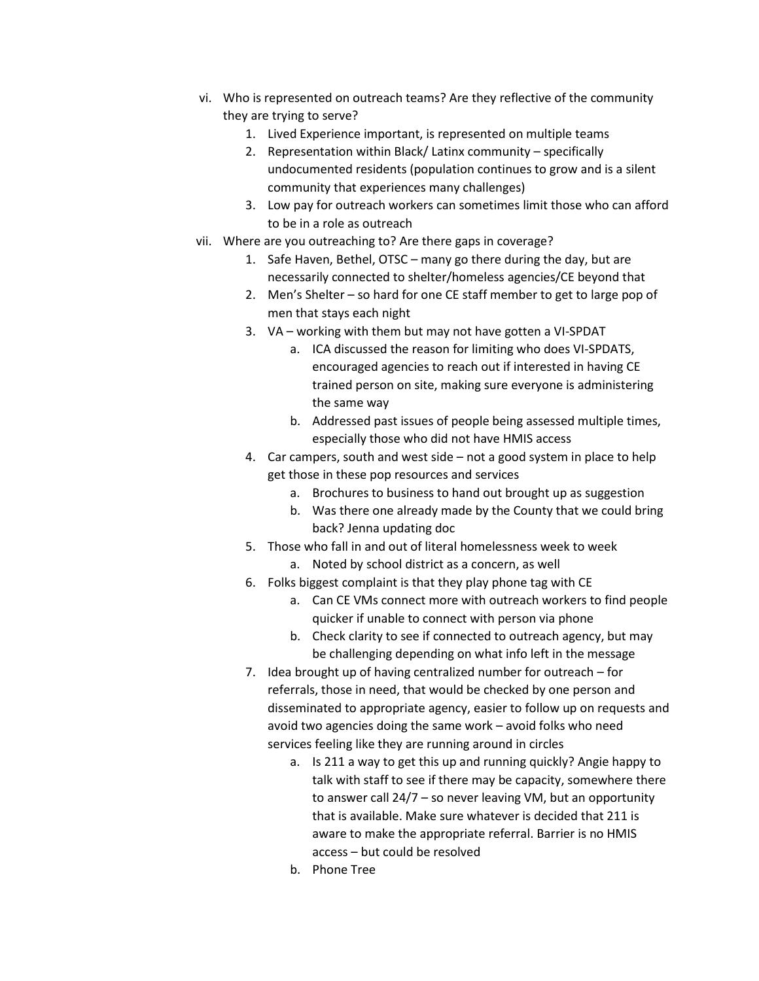- vi. Who is represented on outreach teams? Are they reflective of the community they are trying to serve?
	- 1. Lived Experience important, is represented on multiple teams
	- 2. Representation within Black/ Latinx community specifically undocumented residents (population continues to grow and is a silent community that experiences many challenges)
	- 3. Low pay for outreach workers can sometimes limit those who can afford to be in a role as outreach
- vii. Where are you outreaching to? Are there gaps in coverage?
	- 1. Safe Haven, Bethel, OTSC many go there during the day, but are necessarily connected to shelter/homeless agencies/CE beyond that
	- 2. Men's Shelter so hard for one CE staff member to get to large pop of men that stays each night
	- 3. VA working with them but may not have gotten a VI-SPDAT
		- a. ICA discussed the reason for limiting who does VI-SPDATS, encouraged agencies to reach out if interested in having CE trained person on site, making sure everyone is administering the same way
		- b. Addressed past issues of people being assessed multiple times, especially those who did not have HMIS access
	- 4. Car campers, south and west side not a good system in place to help get those in these pop resources and services
		- a. Brochures to business to hand out brought up as suggestion
		- b. Was there one already made by the County that we could bring back? Jenna updating doc
	- 5. Those who fall in and out of literal homelessness week to week
		- a. Noted by school district as a concern, as well
	- 6. Folks biggest complaint is that they play phone tag with CE
		- a. Can CE VMs connect more with outreach workers to find people quicker if unable to connect with person via phone
		- b. Check clarity to see if connected to outreach agency, but may be challenging depending on what info left in the message
	- 7. Idea brought up of having centralized number for outreach for referrals, those in need, that would be checked by one person and disseminated to appropriate agency, easier to follow up on requests and avoid two agencies doing the same work – avoid folks who need services feeling like they are running around in circles
		- a. Is 211 a way to get this up and running quickly? Angie happy to talk with staff to see if there may be capacity, somewhere there to answer call 24/7 – so never leaving VM, but an opportunity that is available. Make sure whatever is decided that 211 is aware to make the appropriate referral. Barrier is no HMIS access – but could be resolved
		- b. Phone Tree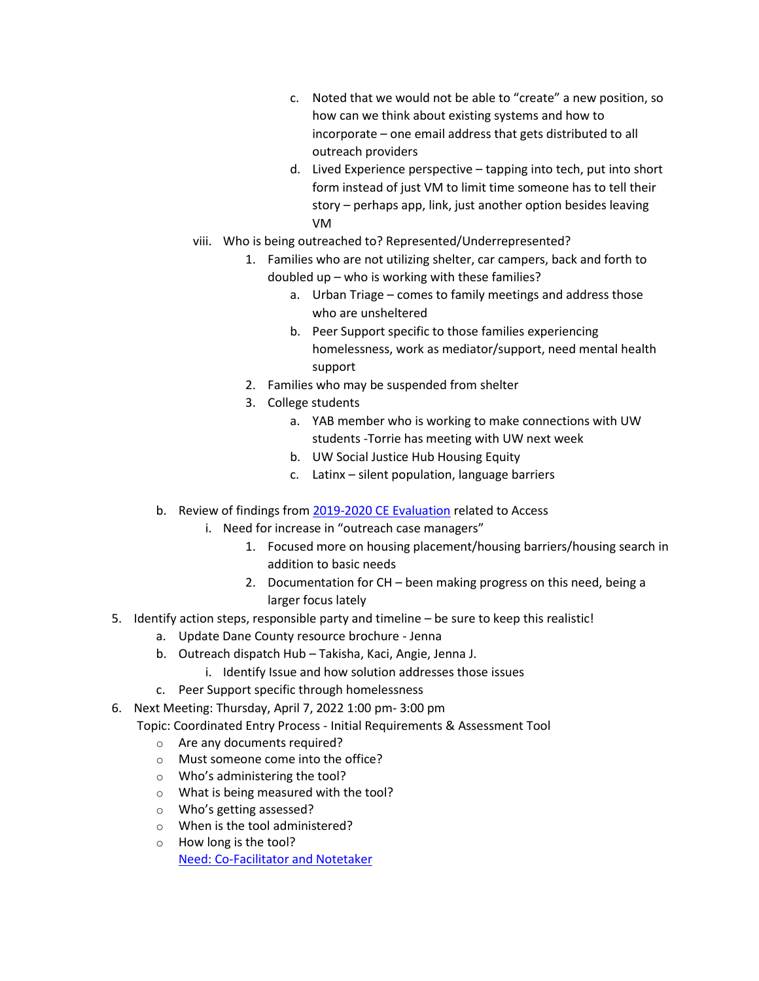- c. Noted that we would not be able to "create" a new position, so how can we think about existing systems and how to incorporate – one email address that gets distributed to all outreach providers
- d. Lived Experience perspective tapping into tech, put into short form instead of just VM to limit time someone has to tell their story – perhaps app, link, just another option besides leaving VM
- viii. Who is being outreached to? Represented/Underrepresented?
	- 1. Families who are not utilizing shelter, car campers, back and forth to doubled up – who is working with these families?
		- a. Urban Triage comes to family meetings and address those who are unsheltered
		- b. Peer Support specific to those families experiencing homelessness, work as mediator/support, need mental health support
		- 2. Families who may be suspended from shelter
		- 3. College students
			- a. YAB member who is working to make connections with UW students -Torrie has meeting with UW next week
			- b. UW Social Justice Hub Housing Equity
			- c. Latinx silent population, language barriers
- b. Review of findings from [2019-2020 CE Evaluation](https://drive.google.com/drive/folders/12IO3a2bd2F_JsZGe-PMQPb7YNKkmi8Ek?usp=sharing) related to Access
	- i. Need for increase in "outreach case managers"
		- 1. Focused more on housing placement/housing barriers/housing search in addition to basic needs
		- 2. Documentation for CH been making progress on this need, being a larger focus lately
- 5. Identify action steps, responsible party and timeline be sure to keep this realistic!
	- a. Update Dane County resource brochure Jenna
	- b. Outreach dispatch Hub Takisha, Kaci, Angie, Jenna J.
		- i. Identify Issue and how solution addresses those issues
	- c. Peer Support specific through homelessness
- 6. Next Meeting: Thursday, April 7, 2022 1:00 pm- 3:00 pm

Topic: Coordinated Entry Process - Initial Requirements & Assessment Tool

- o Are any documents required?
- o Must someone come into the office?
- o Who's administering the tool?
- o What is being measured with the tool?
- o Who's getting assessed?
- o When is the tool administered?
- o How long is the tool? [Need: Co-Facilitator and Notetaker](https://docs.google.com/document/d/16_jVL_3HqIq3htA41gxGeQK8hyvBix5AdSwZOteRRNo/edit?usp=sharing)